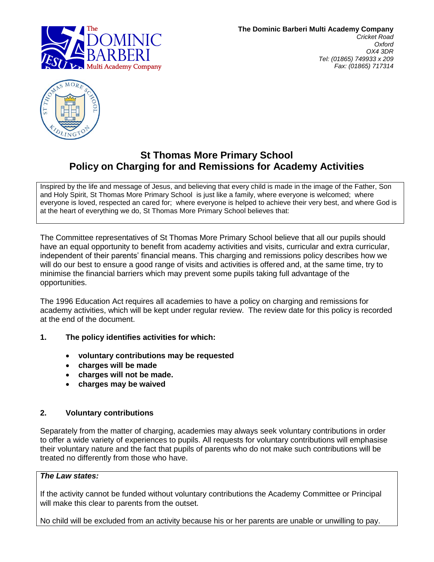



# **St Thomas More Primary School Policy on Charging for and Remissions for Academy Activities**

Inspired by the life and message of Jesus, and believing that every child is made in the image of the Father, Son and Holy Spirit, St Thomas More Primary School is just like a family, where everyone is welcomed; where everyone is loved, respected an cared for; where everyone is helped to achieve their very best, and where God is at the heart of everything we do, St Thomas More Primary School believes that:

The Committee representatives of St Thomas More Primary School believe that all our pupils should have an equal opportunity to benefit from academy activities and visits, curricular and extra curricular, independent of their parents" financial means. This charging and remissions policy describes how we will do our best to ensure a good range of visits and activities is offered and, at the same time, try to minimise the financial barriers which may prevent some pupils taking full advantage of the opportunities.

The 1996 Education Act requires all academies to have a policy on charging and remissions for academy activities, which will be kept under regular review. The review date for this policy is recorded at the end of the document.

# **1. The policy identifies activities for which:**

- **voluntary contributions may be requested**
- **charges will be made**
- **charges will not be made.**
- **charges may be waived**

### **2. Voluntary contributions**

Separately from the matter of charging, academies may always seek voluntary contributions in order to offer a wide variety of experiences to pupils. All requests for voluntary contributions will emphasise their voluntary nature and the fact that pupils of parents who do not make such contributions will be treated no differently from those who have.

### *The Law states:*

If the activity cannot be funded without voluntary contributions the Academy Committee or Principal will make this clear to parents from the outset.

No child will be excluded from an activity because his or her parents are unable or unwilling to pay.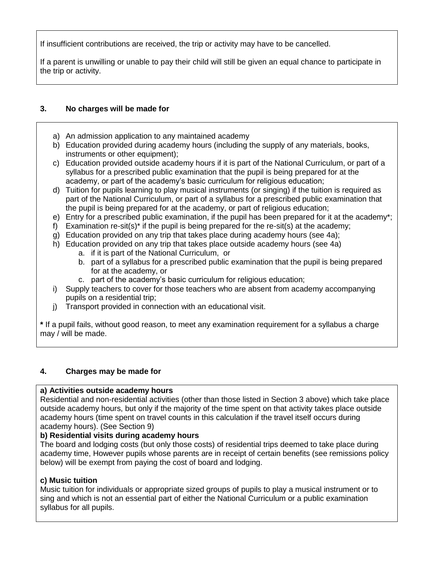If insufficient contributions are received, the trip or activity may have to be cancelled.

If a parent is unwilling or unable to pay their child will still be given an equal chance to participate in the trip or activity.

# **3. No charges will be made for**

- a) An admission application to any maintained academy
- b) Education provided during academy hours (including the supply of any materials, books, instruments or other equipment);
- c) Education provided outside academy hours if it is part of the National Curriculum, or part of a syllabus for a prescribed public examination that the pupil is being prepared for at the academy, or part of the academy"s basic curriculum for religious education;
- d) Tuition for pupils learning to play musical instruments (or singing) if the tuition is required as part of the National Curriculum, or part of a syllabus for a prescribed public examination that the pupil is being prepared for at the academy, or part of religious education;
- e) Entry for a prescribed public examination, if the pupil has been prepared for it at the academy\*;
- f) Examination re-sit(s)<sup>\*</sup> if the pupil is being prepared for the re-sit(s) at the academy;
- g) Education provided on any trip that takes place during academy hours (see 4a);
- h) Education provided on any trip that takes place outside academy hours (see 4a)
	- a. if it is part of the National Curriculum, or
	- b. part of a syllabus for a prescribed public examination that the pupil is being prepared for at the academy, or
	- c. part of the academy"s basic curriculum for religious education;
- i) Supply teachers to cover for those teachers who are absent from academy accompanying pupils on a residential trip;
- j) Transport provided in connection with an educational visit.

**\*** If a pupil fails, without good reason, to meet any examination requirement for a syllabus a charge may / will be made.

# **4. Charges may be made for**

### **a) Activities outside academy hours**

Residential and non-residential activities (other than those listed in Section 3 above) which take place outside academy hours, but only if the majority of the time spent on that activity takes place outside academy hours (time spent on travel counts in this calculation if the travel itself occurs during academy hours). (See Section 9)

# **b) Residential visits during academy hours**

The board and lodging costs (but only those costs) of residential trips deemed to take place during academy time, However pupils whose parents are in receipt of certain benefits (see remissions policy below) will be exempt from paying the cost of board and lodging.

# **c) Music tuition**

Music tuition for individuals or appropriate sized groups of pupils to play a musical instrument or to sing and which is not an essential part of either the National Curriculum or a public examination syllabus for all pupils.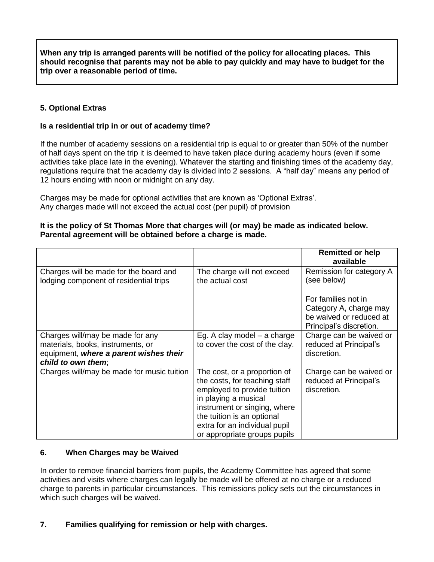**When any trip is arranged parents will be notified of the policy for allocating places. This should recognise that parents may not be able to pay quickly and may have to budget for the trip over a reasonable period of time.**

# **5. Optional Extras**

#### **Is a residential trip in or out of academy time?**

If the number of academy sessions on a residential trip is equal to or greater than 50% of the number of half days spent on the trip it is deemed to have taken place during academy hours (even if some activities take place late in the evening). Whatever the starting and finishing times of the academy day, regulations require that the academy day is divided into 2 sessions. A "half day" means any period of 12 hours ending with noon or midnight on any day.

Charges may be made for optional activities that are known as "Optional Extras". Any charges made will not exceed the actual cost (per pupil) of provision

#### **It is the policy of St Thomas More that charges will (or may) be made as indicated below. Parental agreement will be obtained before a charge is made.**

|                                                                                                                                       |                                                                                                                                                                                                                                                     | <b>Remitted or help</b><br>available                                                                |
|---------------------------------------------------------------------------------------------------------------------------------------|-----------------------------------------------------------------------------------------------------------------------------------------------------------------------------------------------------------------------------------------------------|-----------------------------------------------------------------------------------------------------|
| Charges will be made for the board and<br>lodging component of residential trips                                                      | The charge will not exceed<br>the actual cost                                                                                                                                                                                                       | Remission for category A<br>(see below)                                                             |
|                                                                                                                                       |                                                                                                                                                                                                                                                     | For families not in<br>Category A, charge may<br>be waived or reduced at<br>Principal's discretion. |
| Charges will/may be made for any<br>materials, books, instruments, or<br>equipment, where a parent wishes their<br>child to own them; | Eg. A clay model – a charge<br>to cover the cost of the clay.                                                                                                                                                                                       | Charge can be waived or<br>reduced at Principal's<br>discretion.                                    |
| Charges will/may be made for music tuition                                                                                            | The cost, or a proportion of<br>the costs, for teaching staff<br>employed to provide tuition<br>in playing a musical<br>instrument or singing, where<br>the tuition is an optional<br>extra for an individual pupil<br>or appropriate groups pupils | Charge can be waived or<br>reduced at Principal's<br>discretion.                                    |

### **6. When Charges may be Waived**

In order to remove financial barriers from pupils, the Academy Committee has agreed that some activities and visits where charges can legally be made will be offered at no charge or a reduced charge to parents in particular circumstances. This remissions policy sets out the circumstances in which such charges will be waived.

## **7. Families qualifying for remission or help with charges.**